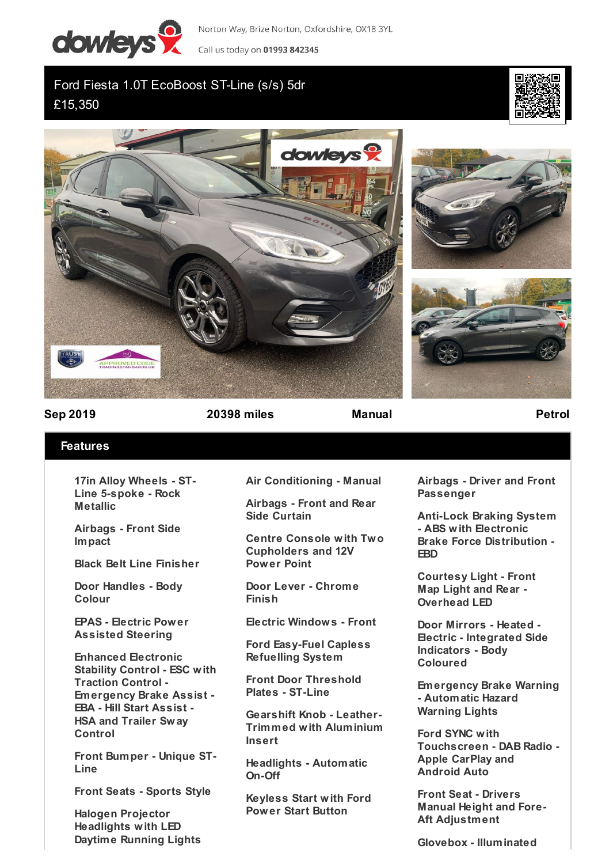

Norton Way, Brize Norton, Oxfordshire, OX18 3YL Call us today on 01993 842345

Ford Fiesta 1.0T EcoBoost ST-Line (s/s) 5dr £15,350









**Sep 2019 20398 miles Manual Petrol**

## **Features**

**17in Alloy Wheels - ST-Line 5-spoke - Rock Metallic**

**Airbags - Front Side Impact**

**Black Belt Line Finisher**

**Door Handles - Body Colour**

**EPAS - Electric Power Assisted Steering**

**Enhanced Electronic Stability Control - ESC with Traction Control - Emergency Brake Assist - EBA - Hill Start Assist - HSA and Trailer Sway Control**

**Front Bumper - Unique ST-Line**

**Front Seats - Sports Style**

**Halogen Projector Headlights with LED Daytime Running Lights** **Air Conditioning - Manual**

**Airbags - Front and Rear Side Curtain**

**Centre Console with Two Cupholders and 12V Power Point**

**Door Lever - Chrome Finish**

**Electric Windows - Front**

**Ford Easy-Fuel Capless Refuelling System**

**Front Door Threshold Plates - ST-Line**

**Gearshift Knob - Leather-Trimmed with Aluminium Insert**

**Headlights - Automatic On-Off**

**Keyless Start with Ford Power Start Button**

**Airbags - Driver and Front Passenger**

**Anti-Lock Braking System - ABS with Electronic Brake Force Distribution - EBD**

**Courtesy Light - Front Map Light and Rear - Overhead LED**

**Door Mirrors - Heated - Electric - Integrated Side Indicators - Body Coloured**

**Emergency Brake Warning - Automatic Hazard Warning Lights**

**Ford SYNC with Touchscreen - DAB Radio - Apple CarPlay and Android Auto**

**Front Seat - Drivers Manual Height and Fore-Aft Adjustment**

**Glovebox - Illuminated**